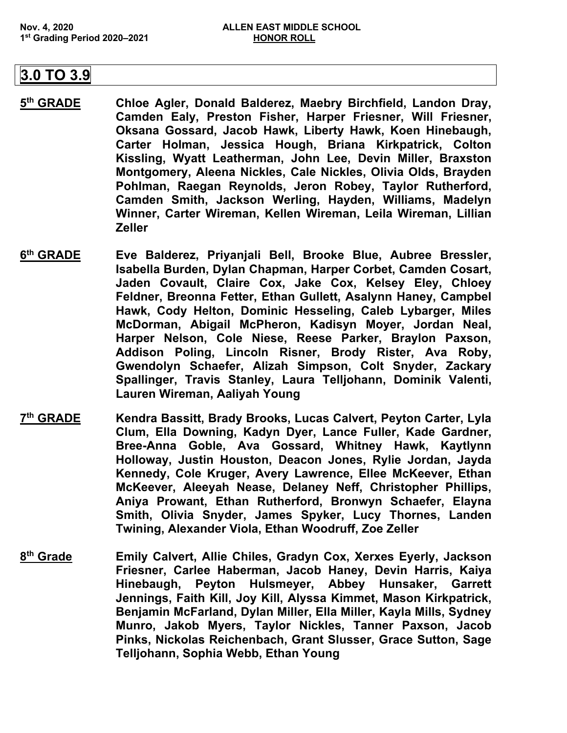## **3.0 TO 3.9**

- **5th GRADE Chloe Agler, Donald Balderez, Maebry Birchfield, Landon Dray, Camden Ealy, Preston Fisher, Harper Friesner, Will Friesner, Oksana Gossard, Jacob Hawk, Liberty Hawk, Koen Hinebaugh, Carter Holman, Jessica Hough, Briana Kirkpatrick, Colton Kissling, Wyatt Leatherman, John Lee, Devin Miller, Braxston Montgomery, Aleena Nickles, Cale Nickles, Olivia Olds, Brayden Pohlman, Raegan Reynolds, Jeron Robey, Taylor Rutherford, Camden Smith, Jackson Werling, Hayden, Williams, Madelyn Winner, Carter Wireman, Kellen Wireman, Leila Wireman, Lillian Zeller**
- **6th GRADE Eve Balderez, Priyanjali Bell, Brooke Blue, Aubree Bressler, Isabella Burden, Dylan Chapman, Harper Corbet, Camden Cosart, Jaden Covault, Claire Cox, Jake Cox, Kelsey Eley, Chloey Feldner, Breonna Fetter, Ethan Gullett, Asalynn Haney, Campbel Hawk, Cody Helton, Dominic Hesseling, Caleb Lybarger, Miles McDorman, Abigail McPheron, Kadisyn Moyer, Jordan Neal, Harper Nelson, Cole Niese, Reese Parker, Braylon Paxson, Addison Poling, Lincoln Risner, Brody Rister, Ava Roby, Gwendolyn Schaefer, Alizah Simpson, Colt Snyder, Zackary Spallinger, Travis Stanley, Laura Telljohann, Dominik Valenti, Lauren Wireman, Aaliyah Young**
- **7th GRADE Kendra Bassitt, Brady Brooks, Lucas Calvert, Peyton Carter, Lyla Clum, Ella Downing, Kadyn Dyer, Lance Fuller, Kade Gardner, Bree-Anna Goble, Ava Gossard, Whitney Hawk, Kaytlynn Holloway, Justin Houston, Deacon Jones, Rylie Jordan, Jayda Kennedy, Cole Kruger, Avery Lawrence, Ellee McKeever, Ethan McKeever, Aleeyah Nease, Delaney Neff, Christopher Phillips, Aniya Prowant, Ethan Rutherford, Bronwyn Schaefer, Elayna Smith, Olivia Snyder, James Spyker, Lucy Thornes, Landen Twining, Alexander Viola, Ethan Woodruff, Zoe Zeller**
- **8th Grade Emily Calvert, Allie Chiles, Gradyn Cox, Xerxes Eyerly, Jackson Friesner, Carlee Haberman, Jacob Haney, Devin Harris, Kaiya Hinebaugh, Peyton Hulsmeyer, Abbey Hunsaker, Garrett Jennings, Faith Kill, Joy Kill, Alyssa Kimmet, Mason Kirkpatrick, Benjamin McFarland, Dylan Miller, Ella Miller, Kayla Mills, Sydney Munro, Jakob Myers, Taylor Nickles, Tanner Paxson, Jacob Pinks, Nickolas Reichenbach, Grant Slusser, Grace Sutton, Sage Telljohann, Sophia Webb, Ethan Young**